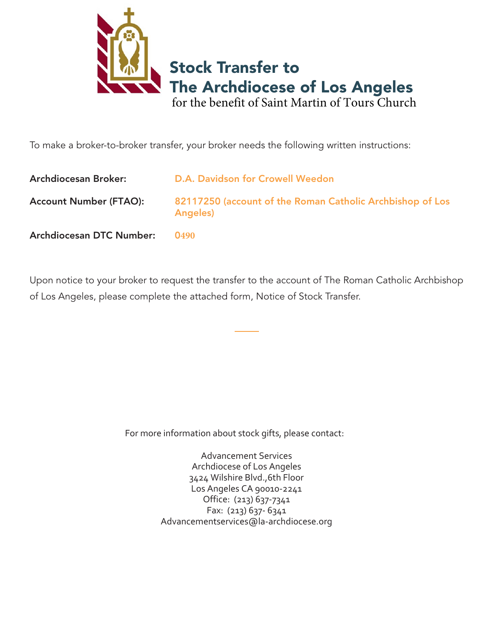

To make a broker-to-broker transfer, your broker needs the following written instructions:

| <b>Archdiocesan Broker:</b>     | D.A. Davidson for Crowell Weedon                                              |
|---------------------------------|-------------------------------------------------------------------------------|
| <b>Account Number (FTAO):</b>   | 82117250 (account of the Roman Catholic Archbishop of Los<br><b>Angeles</b> ) |
| <b>Archdiocesan DTC Number:</b> | 0490                                                                          |

Upon notice to your broker to request the transfer to the account of The Roman Catholic Archbishop of Los Angeles, please complete the attached form, Notice of Stock Transfer.

For more information about stock gifts, please contact:

Advancement Services Archdiocese of Los Angeles 3424 Wilshire Blvd.,6th Floor Los Angeles CA 90010-2241 Office: (213) 637-7341 Fax: (213) 637- 6341 Advancementservices@la-archdiocese.org